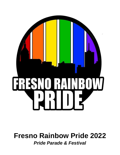

# **Fresno Rainbow Pride 2022** *Pride Parade & Festival*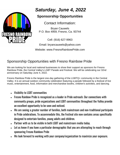

## *Saturday, June 4, 2022*

### **Sponsorship Opportunities**

Contact Information:

Bryan Cauwels P.O. Box 4959, Fresno, Ca. 93744

Cell: (916) 627-9963

Email: bryancauwels@yahoo.com

Website: www.FresnoRainbowPride.com

## Sponsorship Opportunities with Fresno Rainbow Pride

We are looking for local and national businesses to show their support as sponsors for Fresno Rainbow Pride, the Central Valley's LGBT Parade and Festival. We will be celebrating our 32nd anniversary on Saturday June 4, 2022.

Fresno Rainbow Pride is the largest one-day gathering of the LGBTQ+ community in the Central Valley. It is an annual outdoor community celebration featuring a parade followed by a festival of live music, entertainment, food, information and merchandise booths, children's activities, and dancing.

- Visibility to LGBT communities
- Fresno Rainbow Pride is recognized as a leader in Pride outreach. Our connections with community groups, pride organizations and LGBT communities throughout the Valley provide an excellent opportunity to be seen and noticed.
- We are seeing a greater number of families, both mainstream and non-traditional participate in Pride celebrations. To accommodate this, the Festival site now contains areas specifically designed to entertain families, young adults and children.
- Partner with us to be visible in both LGBT and mainstream media today.
- Let us know if you have a particular demographic that you are attempting to reach through sponsoring Fresno Rainbow Pride
- We look forward to working with your company/organization to maximize your exposure.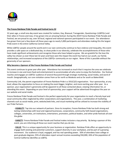

#### **The Fresno Rainbow Pride Parade and Festival turns 32**

32 years ago, a small one-day event was created for Lesbian, Gay, Bisexual, Transgender, Questioning+ (LGBTQ+) and their allies in Fresno and now, it has grown into an amazing festival. During the 2019 Fresno Rainbow Pride Parade and Festival, we are proud to say, over 50 local, regional and national sponsors participated in our event. Our attendance has grown from just a few dozen all those years ago to nearly 5,000 participants and attendees making this the largest Pride event in the entire California Central Valley.

While LGBTQ+ people around the world and in our own community continue to face violence and inequality, this event provides a safe space on a dedicated day, to show pride in our diversity, celebrate the accomplishments of those who have made significant achievements and recognize those who have helped us grow. We are grateful for the love the valley has shown us over these last 32 years and have seen the impact the event has had on our youth, our family relationships, and increased acceptance of the LGBTQ+ community on our region. None of this is possible without the generosity of our sponsors.

#### **Why become a Sponsor of the Fresno Rainbow Pride Parade and Festival**

This event continues to grow year after year. Attendance has increased so much that it requires the area we celebrate to increase in size and more food and entertainment to accommodate all who come to enjoy the festivities. Our festival reaches and engages an LGBTQ+ audience of several thousand through strategic marketing, social media, and word of mouth. Geographically, our core visitation comes from as far north as Modesto and as far south as Bakersfield.

Community Link, the parent organization of Fresno Rainbow Pride is a 501(C)(3) organization. Your sponsorship, at any level, allows the organization to focus on making the event bigger, brighter, and more exciting year after year. As a sponsor, your organization's generosity will be apparent to all those contacted about, viewing information for, or attending this event. Depending on your level of sponsorship, your support will be advertised throughout the year on our website and social media.

Fresno Rainbow Pride Parade and Festival is the perfect opportunity for your organization to reach a fiercely loyal and vocal community often neglected by other corporations and organizations. This year, a combination of marketing channels such as social media, print, website/web links, and visual marketing will be utilized to increase the visibility of our Pride Partners.

- **VISIBILITY**: Tap into our network of partners. Since its inception, Fresno Rainbow Pride has built strong and lasting relationships with local and regional businesses, corporations, community faith-based organizations, colleges, universities, art institutions, entertainers, promoters, political leaders, and other pride festivals all over the globe

- **VARIETY**: Fresno Rainbow Pride Parade and Festival makes inclusion a top priority. By being a sponsor of this event, you are informing all those our event reaches that you do too.

- **VALUE**: This is a unique opportunity for your business or organization. Rainbow Pride offers an opportunity to engage both existing and potential customers, support diversity in your workplace, and be part of a growing movement. Our audience is loyal, engaged, and has real spending power. 50% of attendees have college or post-graduate degrees, 55% of attendees report annual incomes exceeding \$50,000, 26% of the population of Central California identifies as LGBTQ.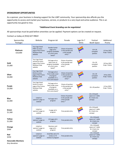#### **SPONSORSHIP OPPORTUNITIES**

As a sponsor, your business is showing support for the LGBT community. Your sponsorship also affords you the opportunity to access and market your business, service, or products to a very loyal and active audience. This is an opportunity too good to miss.

#### *\*Additional Event branding can be negotiated*

All sponsorships must be paid before amenities can be applied. Payment options can be created on request.

#### Contact us today at (916) 627-9963!

| Sponsorship<br>Packages                   | Website                                                                                      | Program Ad                                                                                   | Parade                                                                | Logo On T<br>Shirts | Festival<br><b>Booth Space</b>                                 | Additional<br>Promo            |
|-------------------------------------------|----------------------------------------------------------------------------------------------|----------------------------------------------------------------------------------------------|-----------------------------------------------------------------------|---------------------|----------------------------------------------------------------|--------------------------------|
| Platinum<br>\$10,000                      | Your logo listed<br>FIRST on every<br>page of the Fresno<br><b>Rainbow Pride</b><br>website  | Double-Center<br>page ad in<br>program (available<br>on a first come<br>basis)*              | Choice of position<br>in the parade and<br>a free parade<br>entry *   |                     | 10 X 20<br>canopied<br>pavilion                                | 15 free 2022<br>Pride T-Shirts |
| Gold<br>\$5,000                           | Your logo listed<br>second on every<br>page of the Fresno<br><b>Rainbow Pride</b><br>website | Full page ad on<br>back cover of<br>program (available<br>on a first come<br>basis)*         | Choice of position<br>in the parade and<br>a free parade<br>entry*    |                     | 10 x 20<br>canopied<br>pavilion                                | 10 free 2022<br>Pride T-Shirts |
| <b>Silver</b><br>\$4,000                  | Your logo listed<br>third on every<br>page of the Fresno<br><b>Rainbow Pride</b><br>website  | Full page ad on<br>front inside cover<br>of program<br>(available on a<br>first come basis)* | Choice of position<br>in the parade and<br>a free parade<br>entry $*$ |                     | 10 x 20<br>canopied<br>pavilion                                | 8 free 2022<br>Pride T-Shirts  |
| <b>Purple</b><br>\$3,000                  | Your logo listed<br>fourth on every<br>page of the Fresno<br>Rainbow Pride<br>website        | Full page ad on<br>back inside cover<br>of program<br>(available on a<br>first come basis)*  | Choice of position<br>in the parade and<br>a free parade<br>entry *   |                     | 10 x 20 pavilion                                               | 6 Free 2022<br>Pride T-Shirts  |
| <b>Blue</b><br>\$2,000                    | Listed on<br>sponsor's page on<br>website                                                    | Full page ad in<br>program                                                                   | Choice of position<br>in the parade and<br>a free parade<br>entry*    |                     | 10 x 10 booth<br>space w/ 1 table<br>& 2 chairs (no<br>canopy) |                                |
| Green<br>\$1,500                          | Listed on<br>sponsor's page on<br>website                                                    | $\frac{1}{2}$ page ad in<br>program                                                          | Free parade entry                                                     |                     | 10 x 10 booth<br>space w/ 1 table<br>& 2 chairs (no<br>canopy) |                                |
| Yellow<br>\$1,000                         | Listed on<br>sponsor's page on<br>website                                                    | 1/3 page ad in<br>program                                                                    | Free parade entry                                                     |                     | 10 x 10 booth<br>space w/ 1 table<br>& 2 chairs (no<br>canopy) |                                |
| Orange<br>\$500                           | Listed on<br>sponsor's page on<br>website                                                    | <b>Business card</b><br>page ad in<br>program                                                | Free parade entry                                                     |                     | 10 x 10 booth<br>space w/ 1 table<br>& 2 chairs (no<br>canopy) |                                |
| Red<br>\$250                              | Listed on<br>sponsor's page on<br>website                                                    | Small Box ad (1.75<br>inches x1.75<br>inches) in program                                     | Free parade entry                                                     |                     | 10 x 10 booth<br>space w/ 1 table<br>& 2 chairs (no<br>canopy) |                                |
| <b>Honorable Mentions</b><br>Any donation |                                                                                              |                                                                                              |                                                                       |                     |                                                                |                                |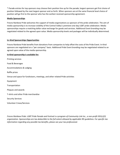\* Parade entries for top sponsors may choose their position line up for the parade; largest sponsors get first choice of position followed by the next largest sponsor and so forth. When sponsors are at the same financial level choice of position will go first to the sponsor who has the earliest received sponsorship agreement.

#### **Media Sponsorships**

Fresno Rainbow Pride welcomes the support of media organizations as sponsors of the pride celebration. The aim of media sponsorship is to increase visibility of the Central Valley's premiere one-day LGBT pride celebration. Media sponsorships require a matching dollar value exchange for goods and services. Additional Event branding may be negotiated related to the agreed upon value. Media sponsorship levels and packages will be individually determined.

#### **In–Kind Sponsorships Opportunities**

Fresno Rainbow Pride benefits from donations from companies to help offset the costs of the Pride Event. In-Kind sponsors are negotiated on a "per company" basis. Additional Pride Event branding may be negotiated related to an agreed upon value of the media sponsorship.

#### **In-Kind sponsorship is available for:**

Printing services Food & Beverages Accommodations & Lodging Raffle prizes Venue and space for fundraisers, meetings, and other related Pride activities Equipment Transportation Plaques and awards T-shirts and other Pride merchandise Security Services Volunteer Crews/Services

*Fresno Rainbow Pride: LGBT Pride Parade and Festival is a program of Community Link Inc., a non-profit 501(c)(3) organization. Sponsorships are tax-deductible to the full extent allowed by applicable IRS guidelines. For specific tax information regarding any possible tax benefits, please see your tax professional.*